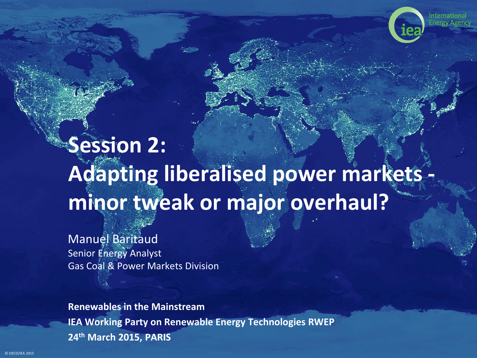

# **Session 2: Adapting liberalised power markets minor tweak or major overhaul?**

Manuel Baritaud Senior Energy Analyst Gas Coal & Power Markets Division

**Renewables in the Mainstream IEA Working Party on Renewable Energy Technologies RWEP 24th March 2015, PARIS**

© OECD/IEA 2015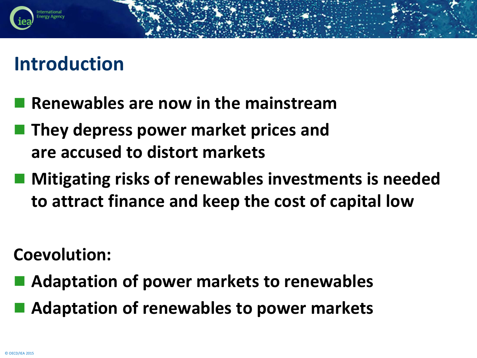#### **Introduction**

- **Renewables are now in the mainstream**
- **They depress power market prices and are accused to distort markets**
- Mitigating risks of renewables investments is needed **to attract finance and keep the cost of capital low**

**Coevolution:**

- **Adaptation of power markets to renewables**
- **Adaptation of renewables to power markets**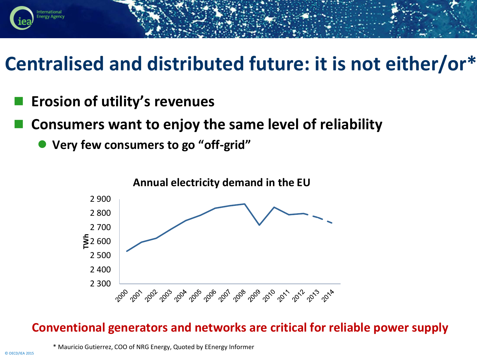

### **Centralised and distributed future: it is not either/or\***

- **Erosion of utility's revenues**
- **Consumers want to enjoy the same level of reliability**
	- **Very few consumers to go "off-grid"**



#### **Conventional generators and networks are critical for reliable power supply**

\* Mauricio Gutierrez, COO of NRG Energy, Quoted by EEnergy Informer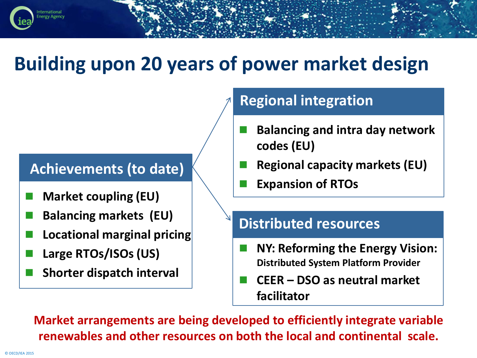## **Building upon 20 years of power market design**

#### **Achievements (to date)**

- **Market coupling (EU)**
- **Balancing markets (EU)**
- **Locational marginal pricing**
- **Large RTOs/ISOs (US)**
- **Shorter dispatch interval**

#### **Regional integration**

- **Balancing and intra day network codes (EU)**
- **Regional capacity markets (EU)**
- **Expansion of RTOs**

#### **Distributed resources**

- **NY: Reforming the Energy Vision: Distributed System Platform Provider**
- **CEER – DSO as neutral market facilitator**

**Market arrangements are being developed to efficiently integrate variable renewables and other resources on both the local and continental scale.**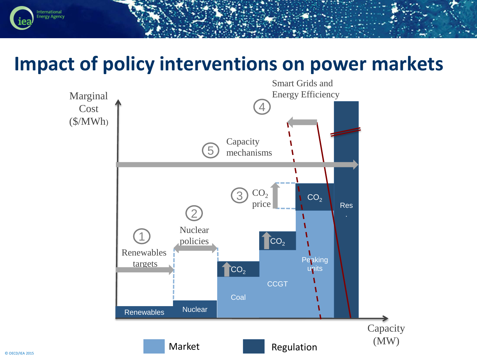### **Impact of policy interventions on power markets**

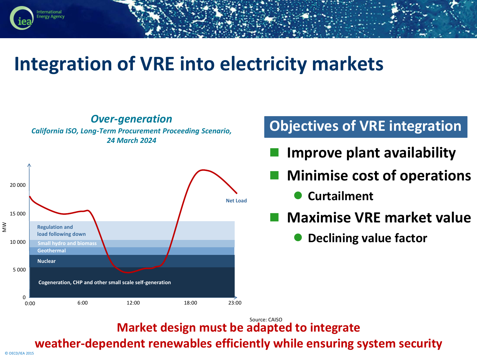# **Integration of VRE into electricity markets**



**Market design must be adapted to integrate**

**weather-dependent renewables efficiently while ensuring system security**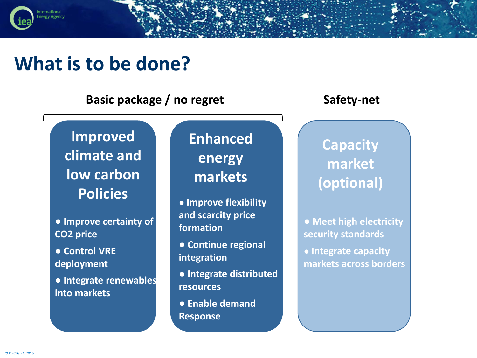#### **What is to be done?**

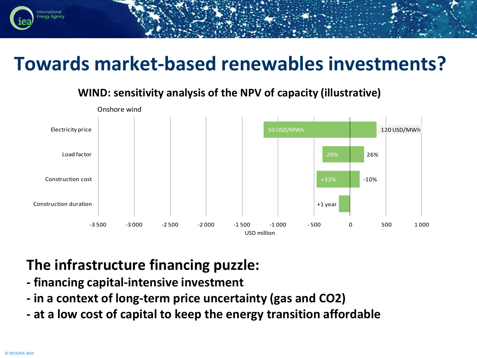### **Towards market-based renewables investments?**

#### +1 year +33% 20% 50 USD/MWh -10% 26% 120 USD/MWh -3 500 -3 000 -2 500 -2 000 -1 500 -1 000 - 500 0 500 1 000 Construction duration Construction cost Load factor Electricity price Onshore wind USD million

#### **WIND: sensitivity analysis of the NPV of capacity (illustrative)**

#### **The infrastructure financing puzzle:**

- **- financing capital-intensive investment**
- **- in a context of long-term price uncertainty (gas and CO2)**
- **- at a low cost of capital to keep the energy transition affordable**

nergy Agency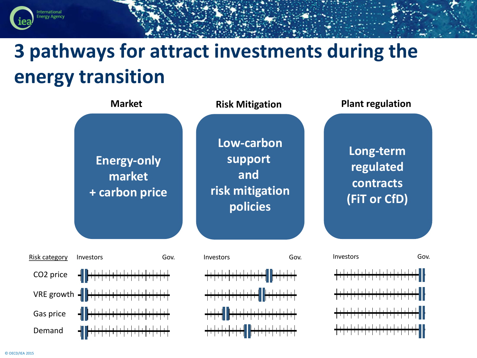# **3 pathways for attract investments during the energy transition**

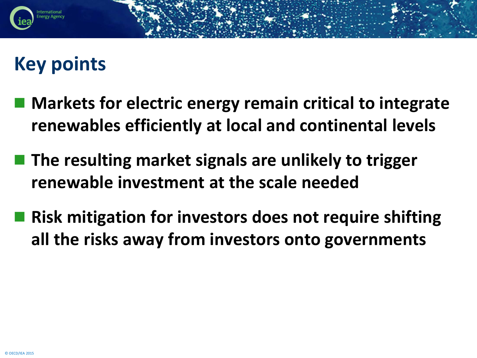# **Key points**

- Markets for electric energy remain critical to integrate **renewables efficiently at local and continental levels**
- **The resulting market signals are unlikely to trigger renewable investment at the scale needed**
- **Risk mitigation for investors does not require shifting all the risks away from investors onto governments**